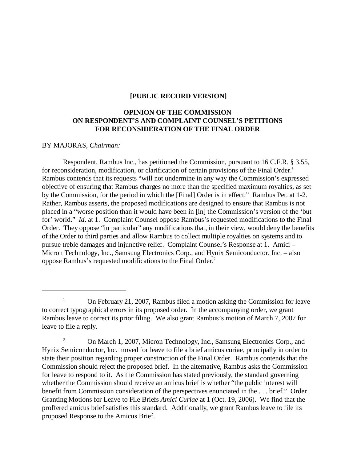### **[PUBLIC RECORD VERSION]**

# **OPINION OF THE COMMISSION ON RESPONDENT'S AND COMPLAINT COUNSEL'S PETITIONS FOR RECONSIDERATION OF THE FINAL ORDER**

### BY MAJORAS, *Chairman:*

Respondent, Rambus Inc., has petitioned the Commission, pursuant to 16 C.F.R. § 3.55, for reconsideration, modification, or clarification of certain provisions of the Final Order.<sup>1</sup> Rambus contends that its requests "will not undermine in any way the Commission's expressed objective of ensuring that Rambus charges no more than the specified maximum royalties, as set by the Commission, for the period in which the [Final] Order is in effect." Rambus Pet. at 1-2. Rather, Rambus asserts, the proposed modifications are designed to ensure that Rambus is not placed in a "worse position than it would have been in [in] the Commission's version of the 'but for' world." *Id*. at 1. Complaint Counsel oppose Rambus's requested modifications to the Final Order. They oppose "in particular" any modifications that, in their view, would deny the benefits of the Order to third parties and allow Rambus to collect multiple royalties on systems and to pursue treble damages and injunctive relief. Complaint Counsel's Response at 1. Amici – Micron Technology, Inc., Samsung Electronics Corp., and Hynix Semiconductor, Inc. – also oppose Rambus's requested modifications to the Final Order.2

<sup>&</sup>lt;sup>1</sup> On February 21, 2007, Rambus filed a motion asking the Commission for leave to correct typographical errors in its proposed order. In the accompanying order, we grant Rambus leave to correct its prior filing. We also grant Rambus's motion of March 7, 2007 for leave to file a reply.

<sup>&</sup>lt;sup>2</sup> On March 1, 2007, Micron Technology, Inc., Samsung Electronics Corp., and Hynix Semiconductor, Inc. moved for leave to file a brief amicus curiae, principally in order to state their position regarding proper construction of the Final Order. Rambus contends that the Commission should reject the proposed brief. In the alternative, Rambus asks the Commission for leave to respond to it. As the Commission has stated previously, the standard governing whether the Commission should receive an amicus brief is whether "the public interest will benefit from Commission consideration of the perspectives enunciated in the . . . brief." Order Granting Motions for Leave to File Briefs *Amici Curiae* at 1 (Oct. 19, 2006). We find that the proffered amicus brief satisfies this standard. Additionally, we grant Rambus leave to file its proposed Response to the Amicus Brief.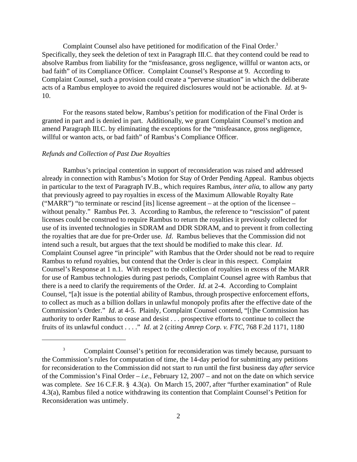Complaint Counsel also have petitioned for modification of the Final Order.<sup>3</sup> Specifically, they seek the deletion of text in Paragraph III.C. that they contend could be read to absolve Rambus from liability for the "misfeasance, gross negligence, willful or wanton acts, or bad faith" of its Compliance Officer. Complaint Counsel's Response at 9. According to Complaint Counsel, such a provision could create a "perverse situation" in which the deliberate acts of a Rambus employee to avoid the required disclosures would not be actionable. *Id*. at 9 10.

For the reasons stated below, Rambus's petition for modification of the Final Order is granted in part and is denied in part. Additionally, we grant Complaint Counsel's motion and amend Paragraph III.C. by eliminating the exceptions for the "misfeasance, gross negligence, willful or wanton acts, or bad faith" of Rambus's Compliance Officer.

#### *Refunds and Collection of Past Due Royalties*

Rambus's principal contention in support of reconsideration was raised and addressed already in connection with Rambus's Motion for Stay of Order Pending Appeal. Rambus objects in particular to the text of Paragraph IV.B., which requires Rambus, *inter alia*, to allow any party that previously agreed to pay royalties in excess of the Maximum Allowable Royalty Rate ("MARR") "to terminate or rescind [its] license agreement – at the option of the licensee – without penalty." Rambus Pet. 3. According to Rambus, the reference to "rescission" of patent licenses could be construed to require Rambus to return the royalties it previously collected for use of its invented technologies in SDRAM and DDR SDRAM, and to prevent it from collecting the royalties that are due for pre-Order use. *Id*. Rambus believes that the Commission did not intend such a result, but argues that the text should be modified to make this clear. *Id*. Complaint Counsel agree "in principle" with Rambus that the Order should not be read to require Rambus to refund royalties, but contend that the Order is clear in this respect. Complaint Counsel's Response at 1 n.1. With respect to the collection of royalties in excess of the MARR for use of Rambus technologies during past periods, Complaint Counsel agree with Rambus that there is a need to clarify the requirements of the Order. *Id*. at 2-4. According to Complaint Counsel, "[a]t issue is the potential ability of Rambus, through prospective enforcement efforts, to collect as much as a billion dollars in unlawful monopoly profits after the effective date of the Commission's Order." *Id*. at 4-5. Plainly, Complaint Counsel contend, "[t]he Commission has authority to order Rambus to cease and desist . . . prospective efforts to continue to collect the fruits of its unlawful conduct . . . ." *Id*. at 2 (*citing Amrep Corp. v. FTC*, 768 F.2d 1171, 1180

<sup>&</sup>lt;sup>3</sup> Complaint Counsel's petition for reconsideration was timely because, pursuant to the Commission's rules for computation of time, the 14-day period for submitting any petitions for reconsideration to the Commission did not start to run until the first business day *after* service of the Commission's Final Order – *i.e*., February 12, 2007 – and not on the date on which service was complete. *See* 16 C.F.R. § 4.3(a). On March 15, 2007, after "further examination" of Rule 4.3(a), Rambus filed a notice withdrawing its contention that Complaint Counsel's Petition for Reconsideration was untimely.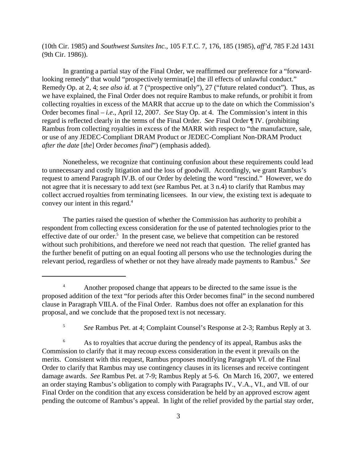(10th Cir. 1985) and *Southwest Sunsites Inc.*, 105 F.T.C. 7, 176, 185 (1985), *aff'd*, 785 F.2d 1431 (9th Cir. 1986)).

In granting a partial stay of the Final Order, we reaffirmed our preference for a "forwardlooking remedy" that would "prospectively terminat[e] the ill effects of unlawful conduct." Remedy Op. at 2, 4; *see also id*. at 7 ("prospective only"), 27 ("future related conduct"). Thus, as we have explained, the Final Order does not require Rambus to make refunds, or prohibit it from collecting royalties in excess of the MARR that accrue up to the date on which the Commission's Order becomes final – *i.e*., April 12, 2007. *See* Stay Op. at 4. The Commission's intent in this regard is reflected clearly in the terms of the Final Order. *See* Final Order ¶ IV. (prohibiting Rambus from collecting royalties in excess of the MARR with respect to "the manufacture, sale, or use of any JEDEC-Compliant DRAM Product or JEDEC-Compliant Non-DRAM Product *after the date* [*the*] Order *becomes final*") (emphasis added).

Nonetheless, we recognize that continuing confusion about these requirements could lead to unnecessary and costly litigation and the loss of goodwill. Accordingly, we grant Rambus's request to amend Paragraph IV.B. of our Order by deleting the word "rescind." However, we do not agree that it is necessary to add text (*see* Rambus Pet. at 3 n.4) to clarify that Rambus may collect accrued royalties from terminating licensees. In our view, the existing text is adequate to convey our intent in this regard.<sup>4</sup>

The parties raised the question of whether the Commission has authority to prohibit a respondent from collecting excess consideration for the use of patented technologies prior to the effective date of our order.<sup>5</sup> In the present case, we believe that competition can be restored without such prohibitions, and therefore we need not reach that question. The relief granted has the further benefit of putting on an equal footing all persons who use the technologies during the relevant period, regardless of whether or not they have already made payments to Rambus.<sup>6</sup> See

<sup>5</sup>*See* Rambus Pet. at 4; Complaint Counsel's Response at 2-3; Rambus Reply at 3.

<sup>6</sup> As to royalties that accrue during the pendency of its appeal, Rambus asks the Commission to clarify that it may recoup excess consideration in the event it prevails on the merits. Consistent with this request, Rambus proposes modifying Paragraph VI. of the Final Order to clarify that Rambus may use contingency clauses in its licenses and receive contingent damage awards. *See* Rambus Pet. at 7-9; Rambus Reply at 5-6. On March 16, 2007, we entered an order staying Rambus's obligation to comply with Paragraphs IV., V.A., VI., and VII. of our Final Order on the condition that any excess consideration be held by an approved escrow agent pending the outcome of Rambus's appeal. In light of the relief provided by the partial stay order,

<sup>&</sup>lt;sup>4</sup> Another proposed change that appears to be directed to the same issue is the proposed addition of the text "for periods after this Order becomes final" in the second numbered clause in Paragraph VIII.A. of the Final Order. Rambus does not offer an explanation for this proposal, and we conclude that the proposed text is not necessary.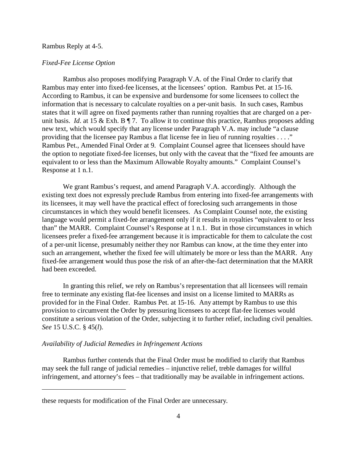#### Rambus Reply at 4-5.

#### *Fixed-Fee License Option*

Rambus also proposes modifying Paragraph V.A. of the Final Order to clarify that Rambus may enter into fixed-fee licenses, at the licensees' option. Rambus Pet. at 15-16. According to Rambus, it can be expensive and burdensome for some licensees to collect the information that is necessary to calculate royalties on a per-unit basis. In such cases, Rambus states that it will agree on fixed payments rather than running royalties that are charged on a perunit basis. *Id.* at 15 & Exh. B ¶ 7. To allow it to continue this practice, Rambus proposes adding new text, which would specify that any license under Paragraph V.A. may include "a clause providing that the licensee pay Rambus a flat license fee in lieu of running royalties . . . ." Rambus Pet., Amended Final Order at 9. Complaint Counsel agree that licensees should have the option to negotiate fixed-fee licenses, but only with the caveat that the "fixed fee amounts are equivalent to or less than the Maximum Allowable Royalty amounts." Complaint Counsel's Response at 1 n.1.

We grant Rambus's request, and amend Paragraph V.A. accordingly. Although the existing text does not expressly preclude Rambus from entering into fixed-fee arrangements with its licensees, it may well have the practical effect of foreclosing such arrangements in those circumstances in which they would benefit licensees. As Complaint Counsel note, the existing language would permit a fixed-fee arrangement only if it results in royalties "equivalent to or less than" the MARR. Complaint Counsel's Response at 1 n.1. But in those circumstances in which licensees prefer a fixed-fee arrangement because it is impracticable for them to calculate the cost of a per-unit license, presumably neither they nor Rambus can know, at the time they enter into such an arrangement, whether the fixed fee will ultimately be more or less than the MARR. Any fixed-fee arrangement would thus pose the risk of an after-the-fact determination that the MARR had been exceeded.

In granting this relief, we rely on Rambus's representation that all licensees will remain free to terminate any existing flat-fee licenses and insist on a license limited to MARRs as provided for in the Final Order. Rambus Pet. at 15-16. Any attempt by Rambus to use this provision to circumvent the Order by pressuring licensees to accept flat-fee licenses would constitute a serious violation of the Order, subjecting it to further relief, including civil penalties. *See* 15 U.S.C. § 45(*l*).

### *Availability of Judicial Remedies in Infringement Actions*

Rambus further contends that the Final Order must be modified to clarify that Rambus may seek the full range of judicial remedies – injunctive relief, treble damages for willful infringement, and attorney's fees – that traditionally may be available in infringement actions.

these requests for modification of the Final Order are unnecessary.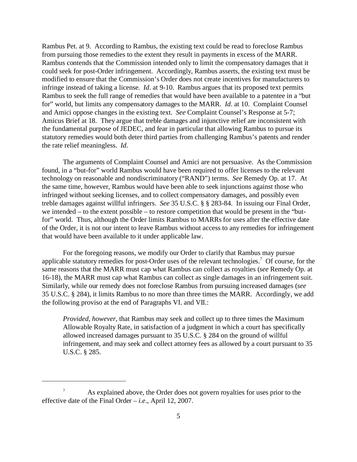Rambus Pet. at 9. According to Rambus, the existing text could be read to foreclose Rambus from pursuing those remedies to the extent they result in payments in excess of the MARR. Rambus contends that the Commission intended only to limit the compensatory damages that it could seek for post-Order infringement. Accordingly, Rambus asserts, the existing text must be modified to ensure that the Commission's Order does not create incentives for manufacturers to infringe instead of taking a license. *Id*. at 9-10. Rambus argues that its proposed text permits Rambus to seek the full range of remedies that would have been available to a patentee in a "but for" world, but limits any compensatory damages to the MARR. *Id*. at 10. Complaint Counsel and Amici oppose changes in the existing text. *See* Complaint Counsel's Response at 5-7; Amicus Brief at 18. They argue that treble damages and injunctive relief are inconsistent with the fundamental purpose of JEDEC, and fear in particular that allowing Rambus to pursue its statutory remedies would both deter third parties from challenging Rambus's patents and render the rate relief meaningless. *Id*.

The arguments of Complaint Counsel and Amici are not persuasive. As the Commission found, in a "but-for" world Rambus would have been required to offer licenses to the relevant technology on reasonable and nondiscriminatory ("RAND") terms. *See* Remedy Op. at 17. At the same time, however, Rambus would have been able to seek injunctions against those who infringed without seeking licenses, and to collect compensatory damages, and possibly even treble damages against willful infringers. *See* 35 U.S.C. § § 283-84. In issuing our Final Order, we intended – to the extent possible – to restore competition that would be present in the "butfor" world. Thus, although the Order limits Rambus to MARRs for uses after the effective date of the Order, it is not our intent to leave Rambus without access to any remedies for infringement that would have been available to it under applicable law.

For the foregoing reasons, we modify our Order to clarify that Rambus may pursue applicable statutory remedies for post-Order uses of the relevant technologies.7 Of course, for the same reasons that the MARR must cap what Rambus can collect as royalties (*see* Remedy Op. at 16-18), the MARR must cap what Rambus can collect as single damages in an infringement suit. Similarly, while our remedy does not foreclose Rambus from pursuing increased damages (*see*  35 U.S.C. § 284), it limits Rambus to no more than three times the MARR. Accordingly, we add the following proviso at the end of Paragraphs VI. and VII.:

*Provided, however*, that Rambus may seek and collect up to three times the Maximum Allowable Royalty Rate, in satisfaction of a judgment in which a court has specifically allowed increased damages pursuant to 35 U.S.C. § 284 on the ground of willful infringement, and may seek and collect attorney fees as allowed by a court pursuant to 35 U.S.C. § 285.

<sup>&</sup>lt;sup>7</sup> As explained above, the Order does not govern royalties for uses prior to the effective date of the Final Order – *i.e*., April 12, 2007.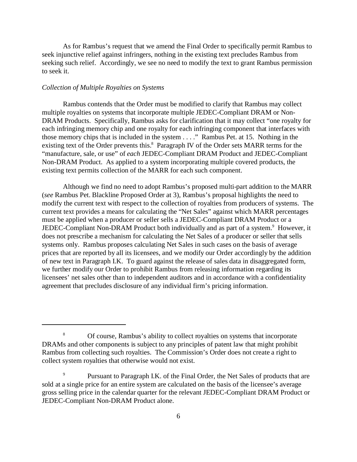As for Rambus's request that we amend the Final Order to specifically permit Rambus to seek injunctive relief against infringers, nothing in the existing text precludes Rambus from seeking such relief. Accordingly, we see no need to modify the text to grant Rambus permission to seek it.

### *Collection of Multiple Royalties on Systems*

Rambus contends that the Order must be modified to clarify that Rambus may collect multiple royalties on systems that incorporate multiple JEDEC-Compliant DRAM or Non-DRAM Products. Specifically, Rambus asks for clarification that it may collect "one royalty for each infringing memory chip and one royalty for each infringing component that interfaces with those memory chips that is included in the system . . . ." Rambus Pet. at 15. Nothing in the existing text of the Order prevents this.<sup>8</sup> Paragraph IV of the Order sets MARR terms for the "manufacture, sale, or use" of *each* JEDEC-Compliant DRAM Product and JEDEC-Compliant Non-DRAM Product. As applied to a system incorporating multiple covered products, the existing text permits collection of the MARR for each such component.

Although we find no need to adopt Rambus's proposed multi-part addition to the MARR (*see* Rambus Pet. Blackline Proposed Order at 3), Rambus's proposal highlights the need to modify the current text with respect to the collection of royalties from producers of systems. The current text provides a means for calculating the "Net Sales" against which MARR percentages must be applied when a producer or seller sells a JEDEC-Compliant DRAM Product or a JEDEC-Compliant Non-DRAM Product both individually and as part of a system.<sup>9</sup> However, it does not prescribe a mechanism for calculating the Net Sales of a producer or seller that sells systems only. Rambus proposes calculating Net Sales in such cases on the basis of average prices that are reported by all its licensees, and we modify our Order accordingly by the addition of new text in Paragraph I.K. To guard against the release of sales data in disaggregated form, we further modify our Order to prohibit Rambus from releasing information regarding its licensees' net sales other than to independent auditors and in accordance with a confidentiality agreement that precludes disclosure of any individual firm's pricing information.

<sup>&</sup>lt;sup>8</sup> Of course, Rambus's ability to collect royalties on systems that incorporate DRAMs and other components is subject to any principles of patent law that might prohibit Rambus from collecting such royalties. The Commission's Order does not create a right to collect system royalties that otherwise would not exist.

<sup>&</sup>lt;sup>9</sup> Pursuant to Paragraph I.K. of the Final Order, the Net Sales of products that are sold at a single price for an entire system are calculated on the basis of the licensee's average gross selling price in the calendar quarter for the relevant JEDEC-Compliant DRAM Product or JEDEC-Compliant Non-DRAM Product alone.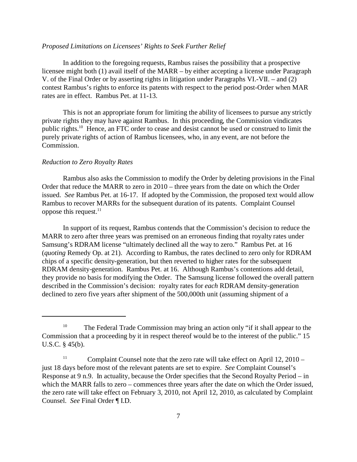# *Proposed Limitations on Licensees' Rights to Seek Further Relief*

In addition to the foregoing requests, Rambus raises the possibility that a prospective licensee might both (1) avail itself of the MARR – by either accepting a license under Paragraph V. of the Final Order or by asserting rights in litigation under Paragraphs VI.-VII. – and (2) contest Rambus's rights to enforce its patents with respect to the period post-Order when MAR rates are in effect. Rambus Pet. at 11-13.

This is not an appropriate forum for limiting the ability of licensees to pursue any strictly private rights they may have against Rambus. In this proceeding, the Commission vindicates public rights.10 Hence, an FTC order to cease and desist cannot be used or construed to limit the purely private rights of action of Rambus licensees, who, in any event, are not before the Commission.

#### *Reduction to Zero Royalty Rates*

Rambus also asks the Commission to modify the Order by deleting provisions in the Final Order that reduce the MARR to zero in 2010 – three years from the date on which the Order issued. *See* Rambus Pet. at 16-17. If adopted by the Commission, the proposed text would allow Rambus to recover MARRs for the subsequent duration of its patents. Complaint Counsel oppose this request. $11$ 

In support of its request, Rambus contends that the Commission's decision to reduce the MARR to zero after three years was premised on an erroneous finding that royalty rates under Samsung's RDRAM license "ultimately declined all the way to zero." Rambus Pet. at 16 (*quoting* Remedy Op. at 21). According to Rambus, the rates declined to zero only for RDRAM chips of a specific density-generation, but then reverted to higher rates for the subsequent RDRAM density-generation. Rambus Pet. at 16. Although Rambus's contentions add detail, they provide no basis for modifying the Order. The Samsung license followed the overall pattern described in the Commission's decision: royalty rates for *each* RDRAM density-generation declined to zero five years after shipment of the 500,000th unit (assuming shipment of a

<sup>&</sup>lt;sup>10</sup> The Federal Trade Commission may bring an action only "if it shall appear to the Commission that a proceeding by it in respect thereof would be to the interest of the public." 15 U.S.C. § 45(b).

<sup>&</sup>lt;sup>11</sup> Complaint Counsel note that the zero rate will take effect on April 12, 2010 – just 18 days before most of the relevant patents are set to expire. *See* Complaint Counsel's Response at 9 n.9. In actuality, because the Order specifies that the Second Royalty Period – in which the MARR falls to zero – commences three years after the date on which the Order issued, the zero rate will take effect on February 3, 2010, not April 12, 2010, as calculated by Complaint Counsel. *See* Final Order ¶ I.D.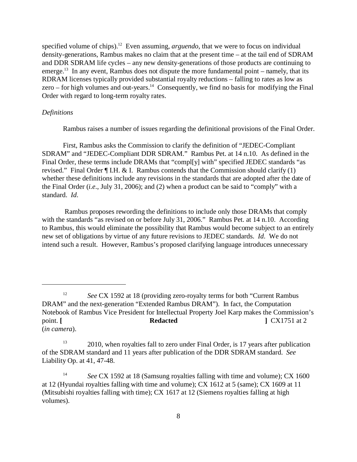specified volume of chips).<sup>12</sup> Even assuming, *arguendo*, that we were to focus on individual density-generations, Rambus makes no claim that at the present time – at the tail end of SDRAM and DDR SDRAM life cycles – any new density-generations of those products are continuing to emerge.<sup>13</sup> In any event, Rambus does not dispute the more fundamental point – namely, that its RDRAM licenses typically provided substantial royalty reductions – falling to rates as low as zero – for high volumes and out-years.<sup>14</sup> Consequently, we find no basis for modifying the Final Order with regard to long-term royalty rates.

#### *Definitions*

Rambus raises a number of issues regarding the definitional provisions of the Final Order.

First, Rambus asks the Commission to clarify the definition of "JEDEC-Compliant SDRAM" and "JEDEC-Compliant DDR SDRAM." Rambus Pet. at 14 n.10. As defined in the Final Order, these terms include DRAMs that "compl[y] with" specified JEDEC standards "as revised." Final Order ¶ I.H. & I. Rambus contends that the Commission should clarify (1) whether these definitions include any revisions in the standards that are adopted after the date of the Final Order (*i.e*., July 31, 2006); and (2) when a product can be said to "comply" with a standard. *Id*.

 Rambus proposes rewording the definitions to include only those DRAMs that comply with the standards "as revised on or before July 31, 2006." Rambus Pet. at 14 n.10. According to Rambus, this would eliminate the possibility that Rambus would become subject to an entirely new set of obligations by virtue of any future revisions to JEDEC standards. *Id*. We do not intend such a result. However, Rambus's proposed clarifying language introduces unnecessary

<sup>&</sup>lt;sup>12</sup> See CX 1592 at 18 (providing zero-royalty terms for both "Current Rambus" DRAM" and the next-generation "Extended Rambus DRAM"). In fact, the Computation Notebook of Rambus Vice President for Intellectual Property Joel Karp makes the Commission's point. [ **Redacted ]** CX1751 at 2 (*in camera*).

<sup>&</sup>lt;sup>13</sup> 2010, when royalties fall to zero under Final Order, is 17 years after publication of the SDRAM standard and 11 years after publication of the DDR SDRAM standard. *See*  Liability Op. at 41, 47-48.

<sup>&</sup>lt;sup>14</sup> See CX 1592 at 18 (Samsung royalties falling with time and volume); CX 1600 at 12 (Hyundai royalties falling with time and volume); CX 1612 at 5 (same); CX 1609 at 11 (Mitsubishi royalties falling with time); CX 1617 at 12 (Siemens royalties falling at high volumes).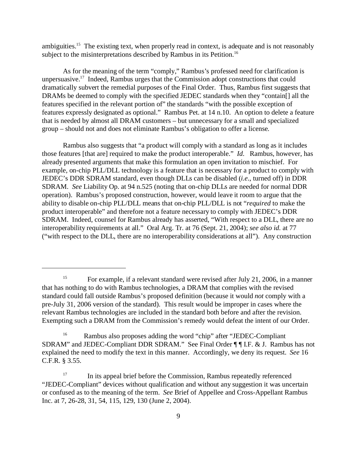ambiguities.<sup>15</sup> The existing text, when properly read in context, is adequate and is not reasonably subject to the misinterpretations described by Rambus in its Petition.<sup>16</sup>

As for the meaning of the term "comply," Rambus's professed need for clarification is unpersuasive.<sup>17</sup> Indeed, Rambus urges that the Commission adopt constructions that could dramatically subvert the remedial purposes of the Final Order. Thus, Rambus first suggests that DRAMs be deemed to comply with the specified JEDEC standards when they "contain[] all the features specified in the relevant portion of" the standards "with the possible exception of features expressly designated as optional." Rambus Pet. at 14 n.10. An option to delete a feature that is needed by almost all DRAM customers – but unnecessary for a small and specialized group – should not and does not eliminate Rambus's obligation to offer a license.

Rambus also suggests that "a product will comply with a standard as long as it includes those features [that are] required to make the product interoperable." *Id*. Rambus, however, has already presented arguments that make this formulation an open invitation to mischief. For example, on-chip PLL/DLL technology is a feature that is necessary for a product to comply with JEDEC's DDR SDRAM standard, even though DLLs can be disabled (*i.e*., turned off) in DDR SDRAM. *See* Liability Op. at 94 n.525 (noting that on-chip DLLs are needed for normal DDR operation). Rambus's proposed construction, however, would leave it room to argue that the ability to disable on-chip PLL/DLL means that on-chip PLL/DLL is not "*required* to make the product interoperable" and therefore not a feature necessary to comply with JEDEC's DDR SDRAM. Indeed, counsel for Rambus already has asserted, "With respect to a DLL, there are no interoperability requirements at all." Oral Arg. Tr. at 76 (Sept. 21, 2004); *see also id.* at 77 ("with respect to the DLL, there are no interoperability considerations at all"). Any construction

<sup>&</sup>lt;sup>15</sup> For example, if a relevant standard were revised after July 21, 2006, in a manner that has nothing to do with Rambus technologies, a DRAM that complies with the revised standard could fall outside Rambus's proposed definition (because it would *not* comply with a pre-July 31, 2006 version of the standard). This result would be improper in cases where the relevant Rambus technologies are included in the standard both before and after the revision. Exempting such a DRAM from the Commission's remedy would defeat the intent of our Order.

<sup>&</sup>lt;sup>16</sup> Rambus also proposes adding the word "chip" after "JEDEC-Compliant" SDRAM" and JEDEC-Compliant DDR SDRAM." See Final Order ¶ ¶ I.F. & J. Rambus has not explained the need to modify the text in this manner. Accordingly, we deny its request. *See* 16 C.F.R. § 3.55.

<sup>&</sup>lt;sup>17</sup> In its appeal brief before the Commission, Rambus repeatedly referenced "JEDEC-Compliant" devices without qualification and without any suggestion it was uncertain or confused as to the meaning of the term. *See* Brief of Appellee and Cross-Appellant Rambus Inc. at 7, 26-28, 31, 54, 115, 129, 130 (June 2, 2004).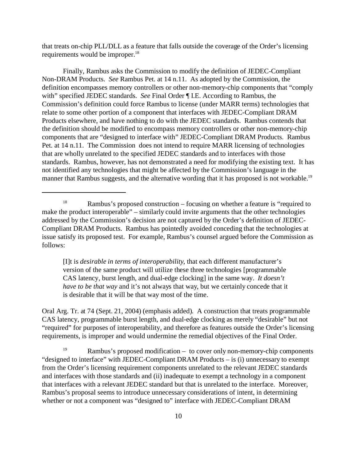that treats on-chip PLL/DLL as a feature that falls outside the coverage of the Order's licensing requirements would be improper.<sup>18</sup>

Finally, Rambus asks the Commission to modify the definition of JEDEC-Compliant Non-DRAM Products. *See* Rambus Pet. at 14 n.11. As adopted by the Commission, the definition encompasses memory controllers or other non-memory-chip components that "comply with" specified JEDEC standards. *See* Final Order ¶ I.E. According to Rambus, the Commission's definition could force Rambus to license (under MARR terms) technologies that relate to some other portion of a component that interfaces with JEDEC-Compliant DRAM Products elsewhere, and have nothing to do with the JEDEC standards. Rambus contends that the definition should be modified to encompass memory controllers or other non-memory-chip components that are "designed to interface with" JEDEC-Compliant DRAM Products. Rambus Pet. at 14 n.11. The Commission does not intend to require MARR licensing of technologies that are wholly unrelated to the specified JEDEC standards and to interfaces with those standards. Rambus, however, has not demonstrated a need for modifying the existing text. It has not identified any technologies that might be affected by the Commission's language in the manner that Rambus suggests, and the alternative wording that it has proposed is not workable.<sup>19</sup>

[I]t is *desirable in terms of interoperability*, that each different manufacturer's version of the same product will utilize these three technologies [programmable CAS latency, burst length, and dual-edge clocking] in the same way. *It doesn't have to be that way* and it's not always that way, but we certainly concede that it is desirable that it will be that way most of the time.

Oral Arg. Tr. at 74 (Sept. 21, 2004) (emphasis added). A construction that treats programmable CAS latency, programmable burst length, and dual-edge clocking as merely "desirable" but not "required" for purposes of interoperability, and therefore as features outside the Order's licensing requirements, is improper and would undermine the remedial objectives of the Final Order.

<sup>&</sup>lt;sup>18</sup> Rambus's proposed construction – focusing on whether a feature is "required to make the product interoperable" – similarly could invite arguments that the other technologies addressed by the Commission's decision are not captured by the Order's definition of JEDEC-Compliant DRAM Products. Rambus has pointedly avoided conceding that the technologies at issue satisfy its proposed test. For example, Rambus's counsel argued before the Commission as follows:

<sup>&</sup>lt;sup>19</sup> Rambus's proposed modification – to cover only non-memory-chip components "designed to interface" with JEDEC-Compliant DRAM Products – is (i) unnecessary to exempt from the Order's licensing requirement components unrelated to the relevant JEDEC standards and interfaces with those standards and (ii) inadequate to exempt a technology in a component that interfaces with a relevant JEDEC standard but that is unrelated to the interface. Moreover, Rambus's proposal seems to introduce unnecessary considerations of intent, in determining whether or not a component was "designed to" interface with JEDEC-Compliant DRAM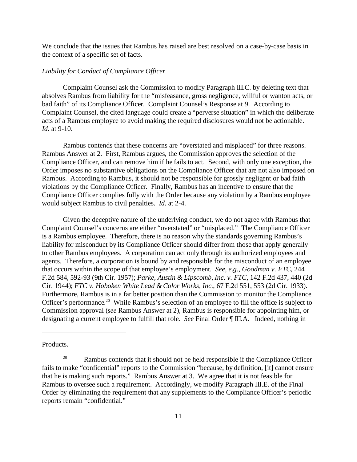We conclude that the issues that Rambus has raised are best resolved on a case-by-case basis in the context of a specific set of facts.

#### *Liability for Conduct of Compliance Officer*

Complaint Counsel ask the Commission to modify Paragraph III.C. by deleting text that absolves Rambus from liability for the "misfeasance, gross negligence, willful or wanton acts, or bad faith" of its Compliance Officer. Complaint Counsel's Response at 9. According to Complaint Counsel, the cited language could create a "perverse situation" in which the deliberate acts of a Rambus employee to avoid making the required disclosures would not be actionable. *Id*. at 9-10.

Rambus contends that these concerns are "overstated and misplaced" for three reasons. Rambus Answer at 2. First, Rambus argues, the Commission approves the selection of the Compliance Officer, and can remove him if he fails to act. Second, with only one exception, the Order imposes no substantive obligations on the Compliance Officer that are not also imposed on Rambus. According to Rambus, it should not be responsible for grossly negligent or bad faith violations by the Compliance Officer. Finally, Rambus has an incentive to ensure that the Compliance Officer complies fully with the Order because any violation by a Rambus employee would subject Rambus to civil penalties. *Id*. at 2-4.

Given the deceptive nature of the underlying conduct, we do not agree with Rambus that Complaint Counsel's concerns are either "overstated" or "misplaced." The Compliance Officer is a Rambus employee. Therefore, there is no reason why the standards governing Rambus's liability for misconduct by its Compliance Officer should differ from those that apply generally to other Rambus employees. A corporation can act only through its authorized employees and agents. Therefore, a corporation is bound by and responsible for the misconduct of an employee that occurs within the scope of that employee's employment. *See, e.g., Goodman v. FTC*, 244 F.2d 584, 592-93 (9th Cir. 1957); *Parke, Austin & Lipscomb, Inc. v. FTC*, 142 F.2d 437, 440 (2d Cir. 1944); *FTC v. Hoboken White Lead & Color Works, Inc*., 67 F.2d 551, 553 (2d Cir. 1933). Furthermore, Rambus is in a far better position than the Commission to monitor the Compliance Officer's performance.<sup>20</sup> While Rambus's selection of an employee to fill the office is subject to Commission approval (*see* Rambus Answer at 2), Rambus is responsible for appointing him, or designating a current employee to fulfill that role. *See* Final Order ¶ III.A. Indeed, nothing in

Products.

 $20$  Rambus contends that it should not be held responsible if the Compliance Officer fails to make "confidential" reports to the Commission "because, by definition, [it] cannot ensure that he is making such reports." Rambus Answer at 3. We agree that it is not feasible for Rambus to oversee such a requirement. Accordingly, we modify Paragraph III.E. of the Final Order by eliminating the requirement that any supplements to the Compliance Officer's periodic reports remain "confidential."